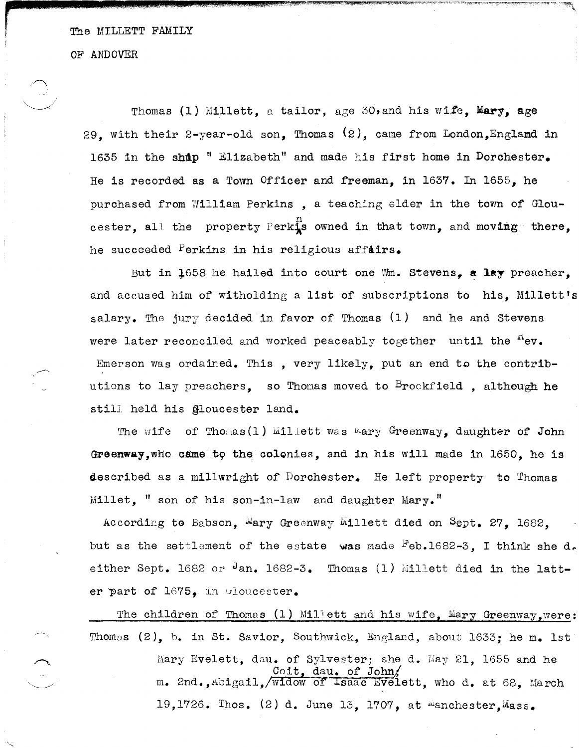The MILLETT FAMILY

OF ANDOVER

Thomas (1) Millett, a tailor, age 30, and his wife, Mary, age 29. with their 2-year-old son, Thomas  $(2)$ , came from London, England in 1635 in the ship "Elizabeth" and made his first home in Dorchester. He is recorded as a Town Officer and freeman, in 1637. In 1655, he purchased from William Perkins, a teaching elder in the town of Gloucester, all the property Perkis owned in that town, and moving there, he succeeded Perkins in his religious affairs.

But in 1658 he hailed into court one Wm. Stevens, a lay preacher, and accused him of witholding a list of subscriptions to his, Millett's salary. The jury decided in favor of Thomas (1) and he and Stevens were later reconciled and worked peaceably together until the nev. Emerson was ordained. This, very likely, put an end to the contributions to lay preachers. so Thomas moved to  $B_{\text{rockfield}}$  although he still held his gloucester land.

The wife of Thomas (1) Millett was mary Greenway, daughter of John Greenway, who came to the colonies, and in his will made in 1650, he is described as a millwright of Dorchester. He left property to Thomas  $\texttt{Millet.}$  " son of his son-in-law and daughter  $\texttt{Mary.}$ "

According to Babson, Mary Greenway Millett died on Sept. 27. 1682. but as the settlement of the estate was made <sup>F</sup>eb.1682-3, I think she d. either Sept. 1682 or  $\cdot$ lan. 1682-3. Thomas (1) Millett died in the latter part of 1675, in Gloucester.

The children of Thomas (1) Millett and his wife, Mary Greenway, were: Thomas (2), b. in St. Savior, Southwick, England, about 1633; he m. 1st Mary Evelett, dau. of Sylvester; she d. May 21, 1655 and he Coit, day. of John/<br>m. 2nd., Abigail, /widow of Isaac Evelett, who d. at 68, March 19,1726. Thos. (2) d. June 13, 1707, at *manchester*, Mass.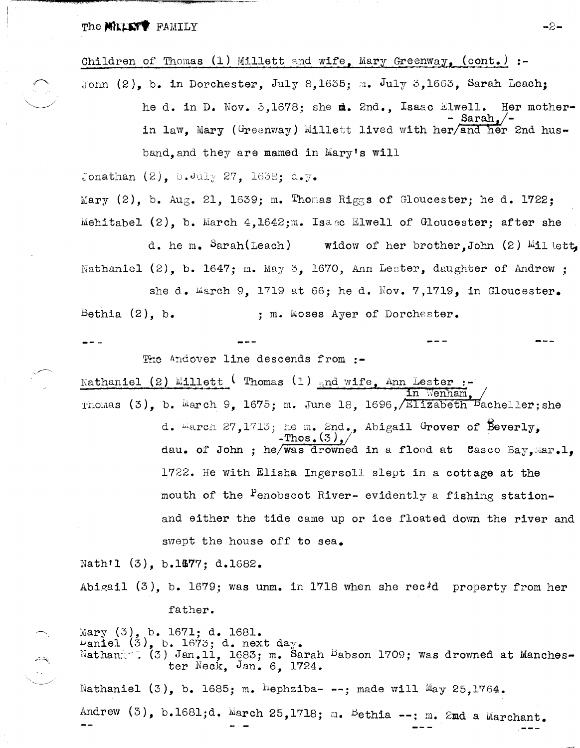The **MILLETY** FAMILY

## Children of Thomas  $(1)$  Millett and wife, Mary Greenway,  $(cont.)$  :-

John (2), b. in Dorchester, July 8,1635; m. July 3,1663, Sarah Leach: he d. in D. Nov. 3.1678: she m. 2nd.. Isaac Elwell. Her mother- $Sarah.$ /in law. Mary (Greenway) Millett lived with her/and her 2nd husband and they are mamed in Mary's will

Jonathan  $(2)$ . b. July 27. 1658:  $a_{\bullet}y_{\bullet}$ 

Mary (2), b. Aug. 21, 1639; m. Thomas Riggs of Gloucester; he d. 1722; Mehitabel  $(2)$ , b. March  $4.1642$ ; m. Isase Elwell of Gloucester; after she

d. he m. Sarah(Leach) widow of her brother.John  $(2)$  Millett Nathaniel (2). b. 1647: m. May 3. 1670, Ann Lester, daughter of Andrew :

she d. March 9, 1719 at 66; he d. Nov. 7,1719, in Gloucester. Bethia  $(2)$ , b. : m. Moses Ayer of Dorchester.

The Andover line descends from :-

Nathaniel (2) Millett ( Thomas (1) and wife. Ann Lester :-Thomas (3), b. March 9, 1675; m. June 18, 1696, Elizabeth Bacheller; she d. March 27, 1713; he m. 2nd., Abigail Grover of Beverly.

Thos.  $(3)$ . dau. of John ; he/was drowned in a flood at Casco Bay, mar. 1. 1722. He with Elisha Ingersoll slept in a cottage at the mouth of the Penobscot River- evidently a fishing stationand either the tide came up or ice floated down the river and swept the house off to sea.

Nath'l (3), b.1677; d.1682.

Abigail  $(3)$ , b. 1679; was unm. in 1718 when she rec<sup>2</sup>d property from her father.

Mary (3), b. 1671; d. 1681.<br>Daniel (3), b. 1673; d. next day. Nathani (3) Jan.11, 1683; m. Sarah Babson 1709; was drowned at Manchester Neck, Jan. 6, 1724.

Nathaniel  $(3)$ , b. 1685; m. <sup>H</sup>ephziba- --; made will May 25,1764.

Andrew (3), b.1681;d. March 25,1718; m. Bethia --; m. 2md a Marchant.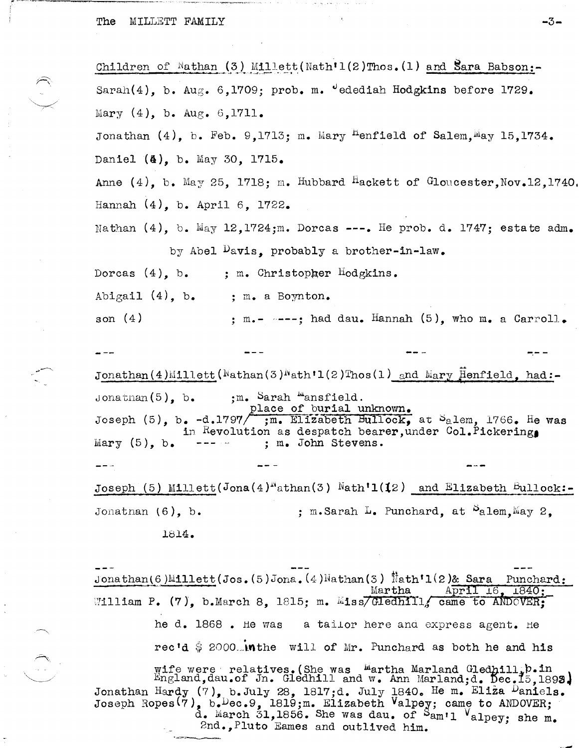The MILLETT FAMILY

Children of Nathan (3) Millett (Nath'1(2)Thos. (1) and Sara Babson:-Sarah(4), b. Aug. 6,1709; prob. m. "edediah Hodgkins before 1729. Mary  $(4)$ , b. Aug.  $6,1711$ . Jonathan (4), b. Feb. 9,1713; m. Mary <sup>H</sup>enfield of Salem.<sup>M</sup>ay 15.1734. Daniel (4), b. May 30, 1715. Anne  $(4)$ , b. May 25, 1718; m. Hubbard Hackett of Gloucester, Nov. 12, 1740 Hannah  $(4)$ , b. April 6, 1722. Nathan  $(4)$ , b. May 12, 1724;m. Dorcas ---. He prob. d. 1747; estate adm. by Abel Davis, probably a brother-in-law. Dorcas  $(4)$ , b. ; m. Christopher Hodgkins. Abigail  $(4)$ , b. ; m. a Boynton. son  $(4)$ ; m.-  $---$ ; had dau. Hannah (5), who m. a Carroll.

Jonathan(4)Millett( $\text{Mathan}(3)$ Math $\text{11}(2)$ Thos(1) and Mary Henfield, had:-;m. Sarah "ansfield.<br>place of burial unknown. Jonathan $(5)$ , b. Joseph (5), b. -d.1797/ ;m. Elizabeth Bullock, at Salem, 1766. He was in Revolution as despatch bearer, under Col. Pickering Mary  $(5)$ , b. ; m. John Stevens.

Joseph (5) Millett(Jona(4)<sup>N</sup>athan(3) Nath'1(12) and Elizabeth Bullock:-Jonathan  $(6)$ , b. ; m. Sarah L. Punchard, at  $P$ alem, May 2. 1814.

Jonathan(6)Millett(Jos.(5)Jona.(4)Mathan(3) Nath<sup>'1</sup>(2)& Sara Punchard: Martha April 16, 1840; William P. (7), b.March 8, 1815; m. Miss/Gledhill, came to ANDOVER: he d.  $1868$ . He was a tailor here and express agent. He rec'd  $\frac{1}{9}$  2000. In the will of Mr. Punchard as both he and his

wife were relatives. (She was Wartha Marland Gledhill; b.in England, dau.of Jn. Gledhill and w. Ann Marland; d. Dec. 15, 1893. Jonathan Hardy (7), b. July 28, 1817;d. July 1840. He m. Eliza Daniels.<br>Joseph Ropes(7), b. Dec. 9, 1819;m. Elizabeth Valpey; came to ANDOVER;<br>d. March 31, 1856. She was dau. of Sam'l Valpey; she m. 2nd., Pluto Eames and outlived him.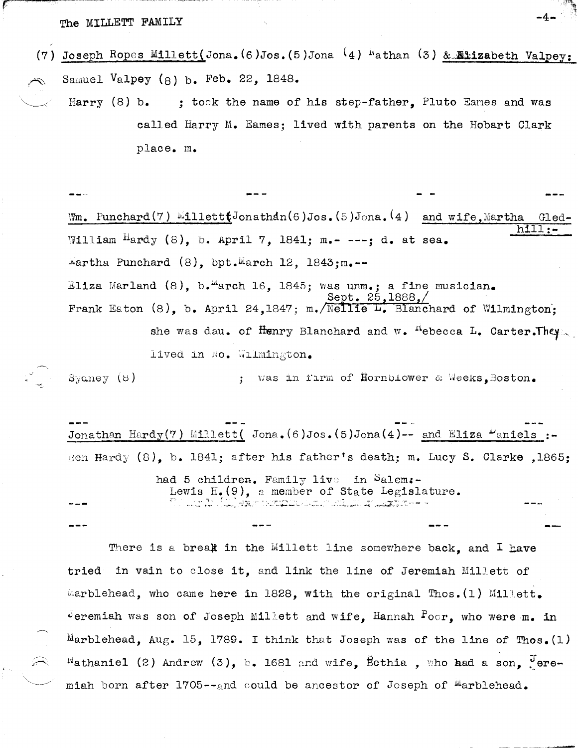## The MILLETT FAMILY

- (7) Joseph Ropes Millett(Jona. (6)Jos. (5)Jona (4) "athan (3) & Elizabeth Valpey: Samuel Valpey (8) b. Feb. 22,  $1848.$ 
	- Harry  $(8)$  b. ; took the name of his step-father, Pluto Eames and was called Harry M. Eames; lived with parents on the Hobart Clark place. m.

Wm. Punchard(7)  $\text{MultiJonathdn}(6) \text{Jos.}(5) \text{Jona.}(4)$  and wife, Martha Gled William Hardy (8), b. April 7, 1841; m.- ---: d. at sea. Martha Punchard  $(8)$ , bpt.March 12, 1843;m.--Eliza Marland (8), b. "arch 16, 1845; was unm.; a fine musician. Sept. 25.1888. Frank Eaton (8), b. April 24,1847; m. Nellie L. Blanchard of Wilmington; she was dau. of Henry Blanchard and w. "ebecca L. Carter. They. lived in No. Wilmington.

; was in firm of Hornblower & Weeks, Boston.  $\beta$ yaney (8)

Jonathan Hardy(7) Millett( Jona.  $(6)$ Jos.  $(5)$ Jona(4)-- and Eliza  $\mu$ aniels :-Ben Hardy (8), b. 1841; after his father's death; m. Lucy S. Clarke ,1865;

> had 5 children. Family live in Salem:-Lewis  $H_{\bullet}(\mathcal{Q})$ , a member of State Legislature. 1970 - An The Color Language and a separate service and a service and the service of the service of the Servic<br>The companion of the Service of the Service Service of the Service of the Service of the Service of the Servic

There is a break in the Millett line somewhere back, and I have in vain to close it, and link the line of Jeremiah Millett of tried Marblehead, who came here in 1828, with the original Thos. (1) Millett. deremiah was son of Joseph Millett and wife, Hannah  $P_{\text{O}\cap\mathbf{r}}$ , who were m. in Marblehead, Aug. 15, 1789. I think that Joseph was of the line of Thos. (1)  $^{\text{N}}$ athaniel (2) Andrew (3), b. 1681 and wife, Bethia, who had a son,  $^{\text{J}}$ eremiah born after 1705--and could be ancestor of Joseph of Marblehead.